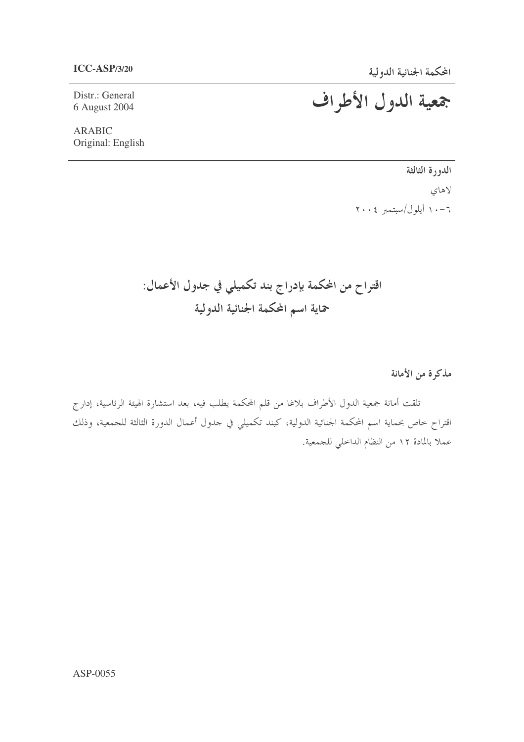Distr.: General 6 August 2004

**ARABIC** Original: English جمعية الدول الأطراف

الدورة الثالثة لاهای  $\gamma \cdot \epsilon$  أيلول /سبتمبر ٢٠٠٤

اقتراح من المحكمة بإدراج بند تكميلي في جدول الأعمال: حماية اسم المحكمة الجنائية الدولية

مذكرة من الأمانة

تلقت أمانة جمعية الدول الأطراف بلاغا من قلم المحكمة يطلب فيه، بعد استشارة الهيئة الرئاسية، إدارج اقتراح خاص بحماية اسم المحكمة الجنائية الدولية، كبند تكميلي في حدول أعمال الدورة الثالثة للجمعية، وذلك عملاً بالمادة ١٢ من النظام الداخلي للجمعية.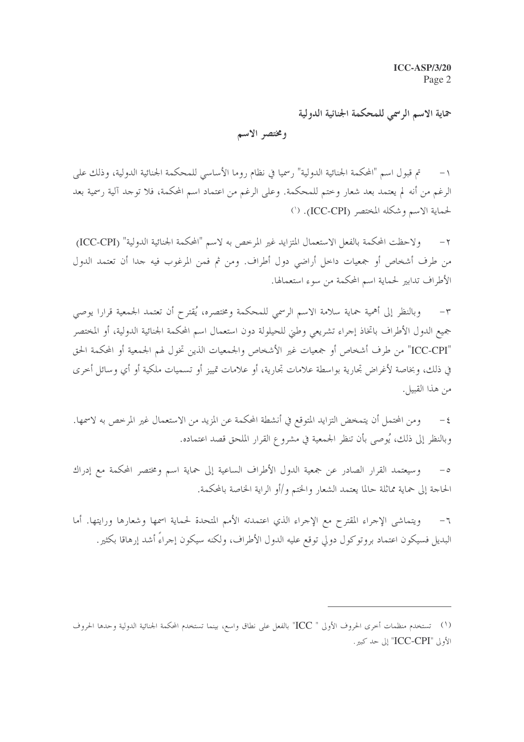حماية الاسم الرسمى للمحكمة الجنائية الدولية

ومختصر الاسم

تم قبول اسم "المحكمة الجنائية الدولية" رسميا في نظام روما الأساسي للمحكمة الجنائية الدولية، وذلك على  $-1$ الرغم من أنه لم يعتمد بعد شعار وختم للمحكمة. وعلى الرغم من اعتماد اسم المحكمة، فلا توجد آلية رسمية بعد لحماية الاسم وشكله المختصر (ICC-CPI). (`)

ولاحظت المحكمة بالفعل الاستعمال المتزايد غير المرخص به لاسم "المحكمة الجنائية الدولية" (ICC-CPI)  $-\tau$ من طرف أشخاص أو جمعيات داخل أراضي دول أطراف. ومن ثم فمن المرغوب فيه جدا أن تعتمد الدول الأطراف تدابير لحماية اسم المحكمة من سوء استعمالها.

وبالنظر إلى أهمية حماية سلامة الاسم الرسمي للمحكمة ومختصره، يُقترح أن تعتمد الجمعية قرارا يوصى  $-\tau$ جميع الدول الأطراف باتخاذ إجراء تشريعي وطني للحيلولة دون استعمال اسم المحكمة الجنائية الدولية، أو المختصر "ICC-CPI" من طرف أشخاص أو جمعيات غير الأشخاص والجمعيات الذين تخول لهم الجمعية أو المحكمة الحق في ذلك، وبخاصة لأغراض تجارية بواسطة علامات تجارية، أو علامات تمييز أو تسميات ملكية أو أي وسائل أخرى من هذا القبيل.

ومن المحتمل أن يتمخض التزايد المتوقع في أنشطة المحكمة عن المزيد من الاستعمال غير المرخص به لاسمها.  $-\xi$ وبالنظر إلى ذلك، يُوصى بأن تنظر الجمعية في مشروع القرار الملحق قصد اعتماده.

وسيعتمد القرار الصادر عن جمعية الدول الأطراف الساعية إلى حماية اسم ومختصر المحكمة مع إدراك الحاجة إلى حماية مماثلة حالما يعتمد الشعار والختم و/أو الراية الخاصة بالمحكمة.

ويتماشى الإجراء المقترح مع الإجراء الذي اعتمدته الأمم المتحدة لحماية اسمها وشعارها ورايتها. أما  $-7$ البديل فسيكون اعتماد بروتوكول دولي توقع عليه الدول الأطراف، ولكنه سيكون إحراءً أشد إرهاقا بكثير.

<sup>(</sup>١) تستخدم منظمات أخرى الحروف الأولى " ICC" بالفعل على نطاق واسع، بينما تستخدم المحكمة الجنائية الدولية وحدها الحروف الأولى "ICC-CPI" إلى حد كبير.